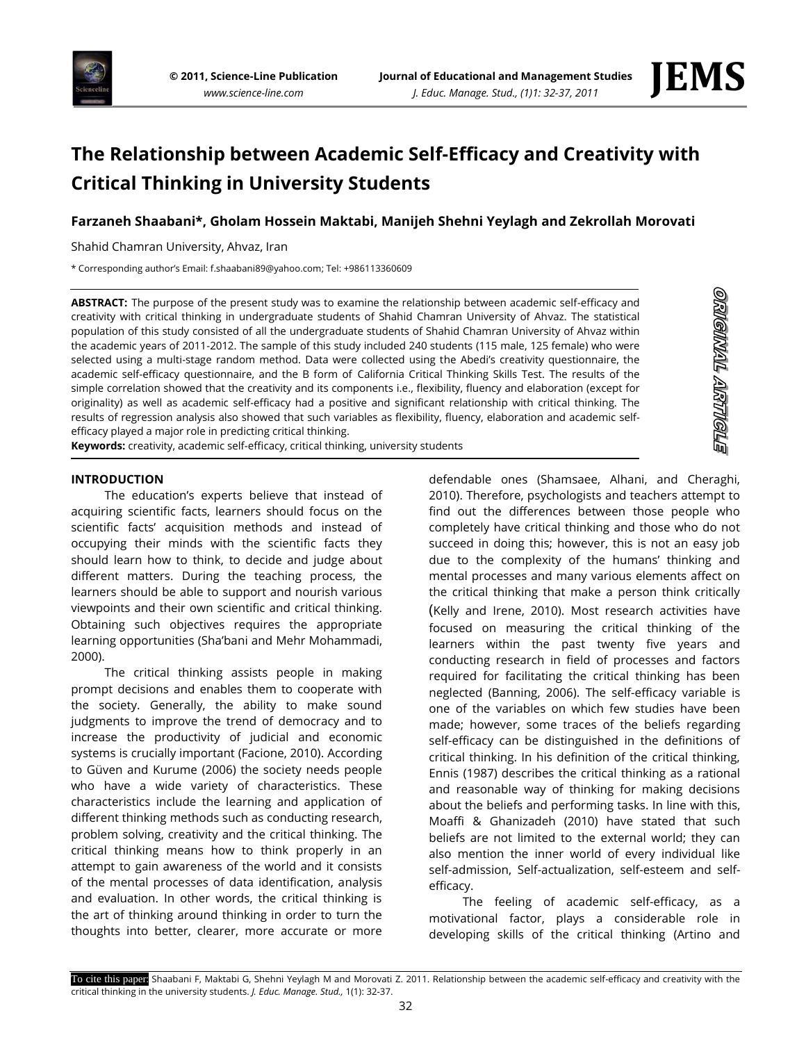



<u>eligitial articleig</u>

# **The Relationship between Academic Self-Efficacy and Creativity with Critical Thinking in University Students**

## **Farzaneh Shaabani\*, Gholam Hossein Maktabi, Manijeh Shehni Yeylagh and Zekrollah Morovati**

Shahid Chamran University, Ahvaz, Iran

\* Corresponding author's Email: f.shaabani89@yahoo.com; Tel: +986113360609

**ABSTRACT:** The purpose of the present study was to examine the relationship between academic self-efficacy and creativity with critical thinking in undergraduate students of Shahid Chamran University of Ahvaz. The statistical population of this study consisted of all the undergraduate students of Shahid Chamran University of Ahvaz within the academic years of 2011-2012. The sample of this study included 240 students (115 male, 125 female) who were selected using a multi-stage random method. Data were collected using the Abedi's creativity questionnaire, the academic self-efficacy questionnaire, and the B form of California Critical Thinking Skills Test. The results of the simple correlation showed that the creativity and its components i.e., flexibility, fluency and elaboration (except for originality) as well as academic self-efficacy had a positive and significant relationship with critical thinking. The results of regression analysis also showed that such variables as flexibility, fluency, elaboration and academic selfefficacy played a major role in predicting critical thinking.

**Keywords:** creativity, academic self-efficacy, critical thinking, university students

### **INTRODUCTION**

The education's experts believe that instead of acquiring scientific facts, learners should focus on the scientific facts' acquisition methods and instead of occupying their minds with the scientific facts they should learn how to think, to decide and judge about different matters. During the teaching process, the learners should be able to support and nourish various viewpoints and their own scientific and critical thinking. Obtaining such objectives requires the appropriate learning opportunities (Sha'bani and Mehr Mohammadi, 2000).

The critical thinking assists people in making prompt decisions and enables them to cooperate with the society. Generally, the ability to make sound judgments to improve the trend of democracy and to increase the productivity of judicial and economic systems is crucially important (Facione, 2010). According to Güven and Kurume (2006) the society needs people who have a wide variety of characteristics. These characteristics include the learning and application of different thinking methods such as conducting research, problem solving, creativity and the critical thinking. The critical thinking means how to think properly in an attempt to gain awareness of the world and it consists of the mental processes of data identification, analysis and evaluation. In other words, the critical thinking is the art of thinking around thinking in order to turn the thoughts into better, clearer, more accurate or more

defendable ones (Shamsaee, Alhani, and Cheraghi, 2010). Therefore, psychologists and teachers attempt to find out the differences between those people who completely have critical thinking and those who do not succeed in doing this; however, this is not an easy job due to the complexity of the humans' thinking and mental processes and many various elements affect on the critical thinking that make a person think critically (Kelly and Irene, 2010). Most research activities have focused on measuring the critical thinking of the learners within the past twenty five years and conducting research in field of processes and factors required for facilitating the critical thinking has been neglected (Banning, 2006). The self-efficacy variable is one of the variables on which few studies have been made; however, some traces of the beliefs regarding self-efficacy can be distinguished in the definitions of critical thinking. In his definition of the critical thinking, Ennis (1987) describes the critical thinking as a rational and reasonable way of thinking for making decisions about the beliefs and performing tasks. In line with this, Moaffi & Ghanizadeh (2010) have stated that such beliefs are not limited to the external world; they can also mention the inner world of every individual like self-admission, Self-actualization, self-esteem and selfefficacy.

The feeling of academic self-efficacy, as a motivational factor, plays a considerable role in developing skills of the critical thinking (Artino and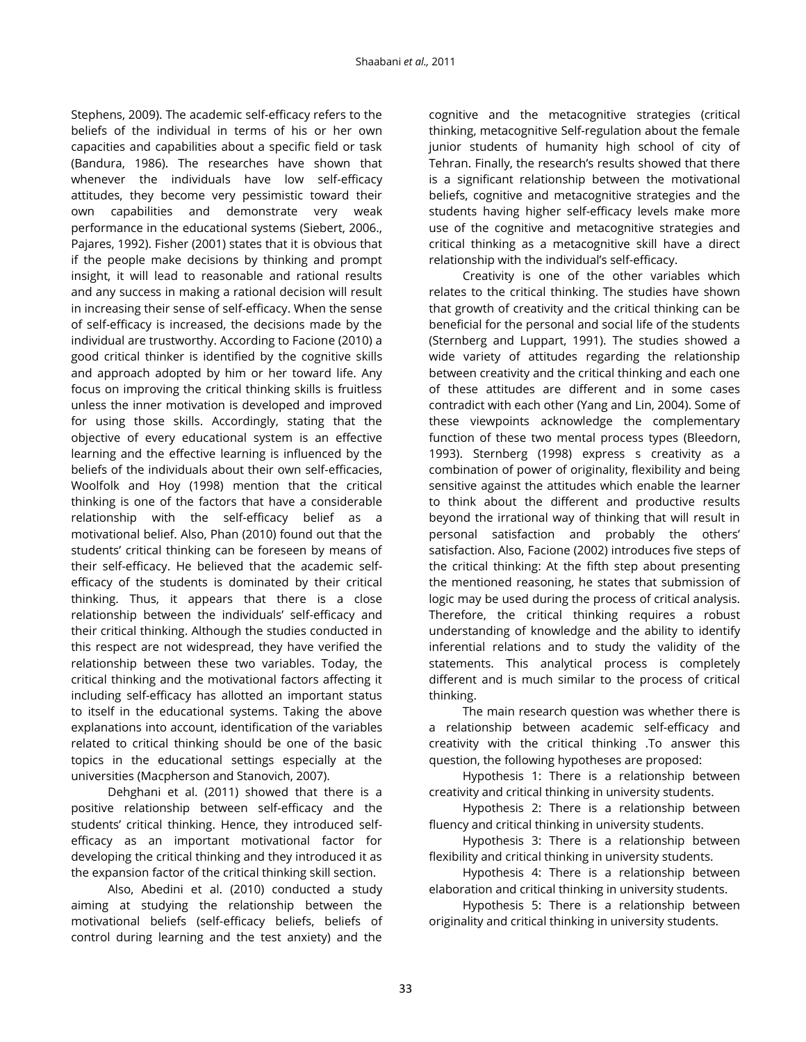Stephens, 2009). The academic self-efficacy refers to the beliefs of the individual in terms of his or her own capacities and capabilities about a specific field or task (Bandura, 1986). The researches have shown that whenever the individuals have low self-efficacy attitudes, they become very pessimistic toward their own capabilities and demonstrate very weak performance in the educational systems (Siebert, 2006., Pajares, 1992). Fisher (2001) states that it is obvious that if the people make decisions by thinking and prompt insight, it will lead to reasonable and rational results and any success in making a rational decision will result in increasing their sense of self-efficacy. When the sense of self-efficacy is increased, the decisions made by the individual are trustworthy. According to Facione (2010) a good critical thinker is identified by the cognitive skills and approach adopted by him or her toward life. Any focus on improving the critical thinking skills is fruitless unless the inner motivation is developed and improved for using those skills. Accordingly, stating that the objective of every educational system is an effective learning and the effective learning is influenced by the beliefs of the individuals about their own self-efficacies, Woolfolk and Hoy (1998) mention that the critical thinking is one of the factors that have a considerable relationship with the self-efficacy belief as a motivational belief. Also, Phan (2010) found out that the students' critical thinking can be foreseen by means of their self-efficacy. He believed that the academic selfefficacy of the students is dominated by their critical thinking. Thus, it appears that there is a close relationship between the individuals' self-efficacy and their critical thinking. Although the studies conducted in this respect are not widespread, they have verified the relationship between these two variables. Today, the critical thinking and the motivational factors affecting it including self-efficacy has allotted an important status to itself in the educational systems. Taking the above explanations into account, identification of the variables related to critical thinking should be one of the basic topics in the educational settings especially at the universities (Macpherson and Stanovich, 2007).

Dehghani et al. (2011) showed that there is a positive relationship between self-efficacy and the students' critical thinking. Hence, they introduced selfefficacy as an important motivational factor for developing the critical thinking and they introduced it as the expansion factor of the critical thinking skill section.

Also, Abedini et al. (2010) conducted a study aiming at studying the relationship between the motivational beliefs (self-efficacy beliefs, beliefs of control during learning and the test anxiety) and the

cognitive and the metacognitive strategies (critical thinking, metacognitive Self-regulation about the female junior students of humanity high school of city of Tehran. Finally, the research's results showed that there is a significant relationship between the motivational beliefs, cognitive and metacognitive strategies and the students having higher self-efficacy levels make more use of the cognitive and metacognitive strategies and critical thinking as a metacognitive skill have a direct relationship with the individual's self-efficacy.

Creativity is one of the other variables which relates to the critical thinking. The studies have shown that growth of creativity and the critical thinking can be beneficial for the personal and social life of the students (Sternberg and Luppart, 1991). The studies showed a wide variety of attitudes regarding the relationship between creativity and the critical thinking and each one of these attitudes are different and in some cases contradict with each other (Yang and Lin, 2004). Some of these viewpoints acknowledge the complementary function of these two mental process types (Bleedorn, 1993). Sternberg (1998) express s creativity as a combination of power of originality, flexibility and being sensitive against the attitudes which enable the learner to think about the different and productive results beyond the irrational way of thinking that will result in personal satisfaction and probably the others' satisfaction. Also, Facione (2002) introduces five steps of the critical thinking: At the fifth step about presenting the mentioned reasoning, he states that submission of logic may be used during the process of critical analysis. Therefore, the critical thinking requires a robust understanding of knowledge and the ability to identify inferential relations and to study the validity of the statements. This analytical process is completely different and is much similar to the process of critical thinking.

The main research question was whether there is a relationship between academic self-efficacy and creativity with the critical thinking .To answer this question, the following hypotheses are proposed:

Hypothesis 1: There is a relationship between creativity and critical thinking in university students.

Hypothesis 2: There is a relationship between fluency and critical thinking in university students.

Hypothesis 3: There is a relationship between flexibility and critical thinking in university students.

Hypothesis 4: There is a relationship between elaboration and critical thinking in university students.

Hypothesis 5: There is a relationship between originality and critical thinking in university students.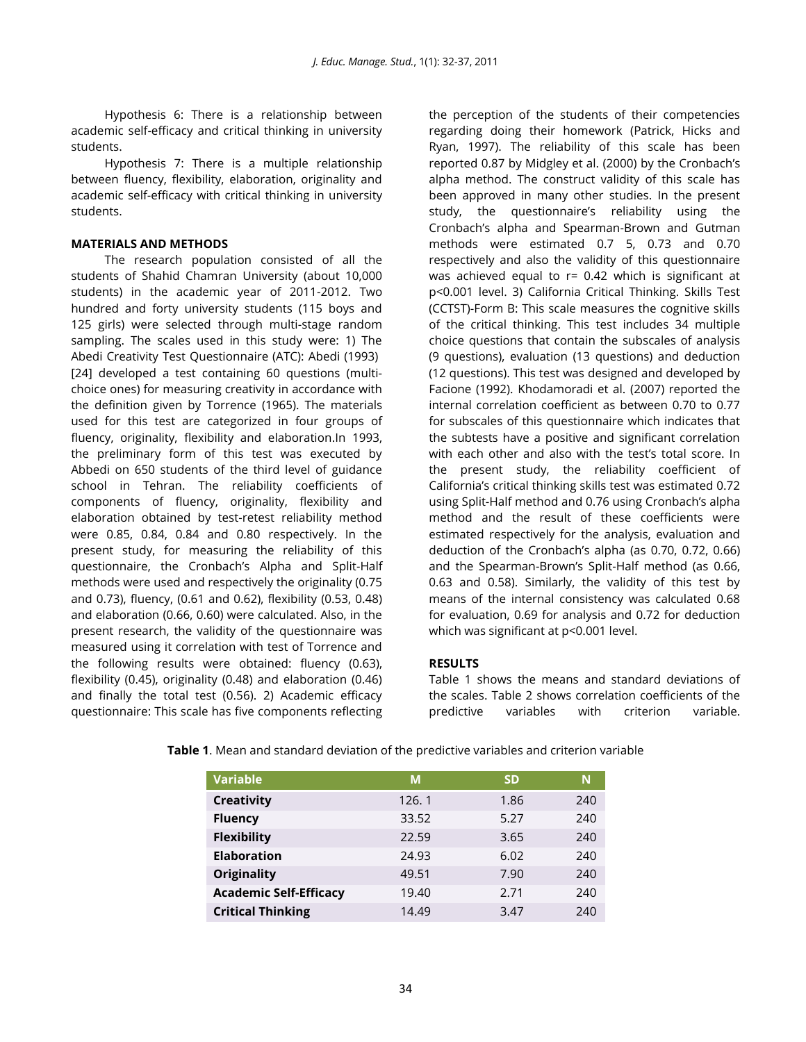Hypothesis 6: There is a relationship between academic self-efficacy and critical thinking in university students.

Hypothesis 7: There is a multiple relationship between fluency, flexibility, elaboration, originality and academic self-efficacy with critical thinking in university students.

## **MATERIALS AND METHODS**

The research population consisted of all the students of Shahid Chamran University (about 10,000 students) in the academic year of 2011-2012. Two hundred and forty university students (115 boys and 125 girls) were selected through multi-stage random sampling. The scales used in this study were: 1) The Abedi Creativity Test Questionnaire (ATC): Abedi (1993) [24] developed a test containing 60 questions (multichoice ones) for measuring creativity in accordance with the definition given by Torrence (1965). The materials used for this test are categorized in four groups of fluency, originality, flexibility and elaboration.In 1993, the preliminary form of this test was executed by Abbedi on 650 students of the third level of guidance school in Tehran. The reliability coefficients of components of fluency, originality, flexibility and elaboration obtained by test-retest reliability method were 0.85, 0.84, 0.84 and 0.80 respectively. In the present study, for measuring the reliability of this questionnaire, the Cronbach's Alpha and Split-Half methods were used and respectively the originality (0.75 and 0.73), fluency, (0.61 and 0.62), flexibility (0.53, 0.48) and elaboration (0.66, 0.60) were calculated. Also, in the present research, the validity of the questionnaire was measured using it correlation with test of Torrence and the following results were obtained: fluency (0.63), flexibility (0.45), originality (0.48) and elaboration (0.46) and finally the total test (0.56). 2) Academic efficacy questionnaire: This scale has five components reflecting

the perception of the students of their competencies regarding doing their homework (Patrick, Hicks and Ryan, 1997). The reliability of this scale has been reported 0.87 by Midgley et al. (2000) by the Cronbach's alpha method. The construct validity of this scale has been approved in many other studies. In the present study, the questionnaire's reliability using the Cronbach's alpha and Spearman-Brown and Gutman methods were estimated 0.7 5, 0.73 and 0.70 respectively and also the validity of this questionnaire was achieved equal to r= 0.42 which is significant at p<0.001 level. 3) California Critical Thinking. Skills Test (CCTST)-Form B: This scale measures the cognitive skills of the critical thinking. This test includes 34 multiple choice questions that contain the subscales of analysis (9 questions), evaluation (13 questions) and deduction (12 questions). This test was designed and developed by Facione (1992). Khodamoradi et al. (2007) reported the internal correlation coefficient as between 0.70 to 0.77 for subscales of this questionnaire which indicates that the subtests have a positive and significant correlation with each other and also with the test's total score. In the present study, the reliability coefficient of California's critical thinking skills test was estimated 0.72 using Split-Half method and 0.76 using Cronbach's alpha method and the result of these coefficients were estimated respectively for the analysis, evaluation and deduction of the Cronbach's alpha (as 0.70, 0.72, 0.66) and the Spearman-Brown's Split-Half method (as 0.66, 0.63 and 0.58). Similarly, the validity of this test by means of the internal consistency was calculated 0.68 for evaluation, 0.69 for analysis and 0.72 for deduction which was significant at p<0.001 level.

## **RESULTS**

Table 1 shows the means and standard deviations of the scales. Table 2 shows correlation coefficients of the predictive variables with criterion variable.

| <b>Variable</b>               | М     | <b>SD</b> | N   |
|-------------------------------|-------|-----------|-----|
| <b>Creativity</b>             | 126.1 | 1.86      | 240 |
| <b>Fluency</b>                | 33.52 | 5.27      | 240 |
| <b>Flexibility</b>            | 22.59 | 3.65      | 240 |
| <b>Elaboration</b>            | 24.93 | 6.02      | 240 |
| <b>Originality</b>            | 49.51 | 7.90      | 240 |
| <b>Academic Self-Efficacy</b> | 19.40 | 2.71      | 240 |
| <b>Critical Thinking</b>      | 14.49 | 3.47      | 240 |

**Table 1**. Mean and standard deviation of the predictive variables and criterion variable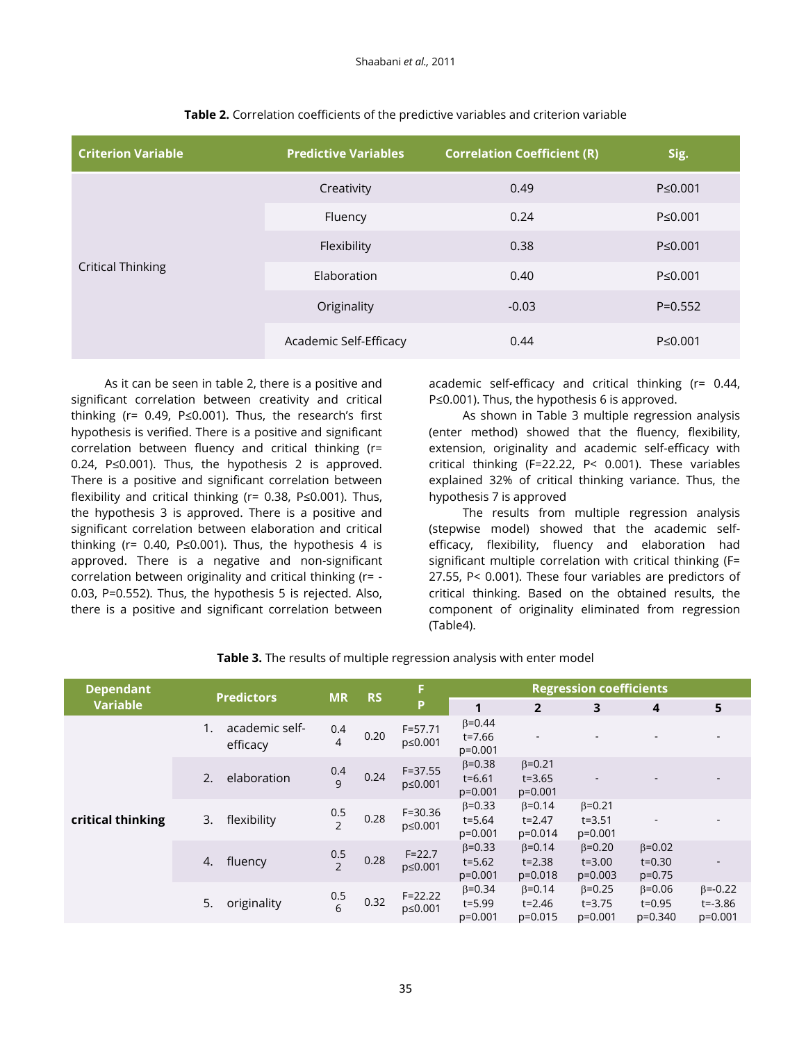| <b>Criterion Variable</b> | <b>Predictive Variables</b> | <b>Correlation Coefficient (R)</b> | Sig.          |
|---------------------------|-----------------------------|------------------------------------|---------------|
| <b>Critical Thinking</b>  | Creativity                  | 0.49                               | $P \le 0.001$ |
|                           | Fluency                     | 0.24                               | $P \le 0.001$ |
|                           | Flexibility                 | 0.38                               | $P \le 0.001$ |
|                           | Elaboration                 | 0.40                               | $P \le 0.001$ |
|                           | Originality                 | $-0.03$                            | $P = 0.552$   |
|                           | Academic Self-Efficacy      | 0.44                               | $P \le 0.001$ |

## **Table 2.** Correlation coefficients of the predictive variables and criterion variable

As it can be seen in table 2, there is a positive and significant correlation between creativity and critical thinking (r= 0.49, P≤0.001). Thus, the research's first hypothesis is verified. There is a positive and significant correlation between fluency and critical thinking (r= 0.24, P≤0.001). Thus, the hypothesis 2 is approved. There is a positive and significant correlation between flexibility and critical thinking (r= 0.38, P≤0.001). Thus, the hypothesis 3 is approved. There is a positive and significant correlation between elaboration and critical thinking ( $r= 0.40$ , P≤0.001). Thus, the hypothesis 4 is approved. There is a negative and non-significant correlation between originality and critical thinking (r= - 0.03, P=0.552). Thus, the hypothesis 5 is rejected. Also, there is a positive and significant correlation between

academic self-efficacy and critical thinking (r= 0.44, P≤0.001). Thus, the hypothesis 6 is approved.

As shown in Table 3 multiple regression analysis (enter method) showed that the fluency, flexibility, extension, originality and academic self-efficacy with critical thinking (F=22.22, P< 0.001). These variables explained 32% of critical thinking variance. Thus, the hypothesis 7 is approved

The results from multiple regression analysis (stepwise model) showed that the academic selfefficacy, flexibility, fluency and elaboration had significant multiple correlation with critical thinking (F= 27.55, P< 0.001). These four variables are predictors of critical thinking. Based on the obtained results, the component of originality eliminated from regression (Table4).

| <b>Dependant</b>  | <b>Predictors</b>          | <b>MR</b>                       |           | F                      | <b>Regression coefficients</b>            |                                           |                                           |                                           |                                             |
|-------------------|----------------------------|---------------------------------|-----------|------------------------|-------------------------------------------|-------------------------------------------|-------------------------------------------|-------------------------------------------|---------------------------------------------|
| <b>Variable</b>   |                            |                                 | <b>RS</b> | Þ                      | 1                                         | $\overline{2}$                            | 3                                         | $\overline{4}$                            | 5                                           |
| critical thinking | academic self-<br>efficacy | 0.4<br>4                        | 0.20      | $F = 57.71$<br>p≤0.001 | $\beta = 0.44$<br>t=7.66<br>$p=0.001$     | ٠                                         |                                           |                                           |                                             |
|                   | elaboration<br>2.          | 0.4<br>$\mathsf{q}$             | 0.24      | $F = 37.55$<br>p≤0.001 | $\beta = 0.38$<br>$t = 6.61$<br>$p=0.001$ | $\beta = 0.21$<br>$t = 3.65$<br>$p=0.001$ | $\overline{\phantom{a}}$                  |                                           | $\overline{\phantom{a}}$                    |
|                   | flexibility<br>3.          | 0.5<br>$\overline{\phantom{0}}$ | 0.28      | $F = 30.36$<br>p≤0.001 | $\beta = 0.33$<br>t=5.64<br>$p=0.001$     | $\beta = 0.14$<br>$t = 2.47$<br>$p=0.014$ | $\beta = 0.21$<br>$t = 3.51$<br>$p=0.001$ |                                           |                                             |
|                   | fluency<br>4.              | 0.5<br>$\overline{2}$           | 0.28      | $F = 22.7$<br>p≤0.001  | $\beta = 0.33$<br>$t = 5.62$<br>$p=0.001$ | $\beta = 0.14$<br>$t = 2.38$<br>$p=0.018$ | $\beta = 0.20$<br>$t = 3.00$<br>$p=0.003$ | $\beta = 0.02$<br>$t = 0.30$<br>$p=0.75$  |                                             |
|                   | 5.<br>originality          | 0.5<br>6                        | 0.32      | $F = 22.22$<br>p≤0.001 | $\beta = 0.34$<br>$t = 5.99$<br>$p=0.001$ | $\beta = 0.14$<br>$t = 2.46$<br>$p=0.015$ | $\beta = 0.25$<br>$t = 3.75$<br>$p=0.001$ | $\beta = 0.06$<br>$t = 0.95$<br>$p=0.340$ | $\beta = -0.22$<br>$t = -3.86$<br>$p=0.001$ |

## **Table 3.** The results of multiple regression analysis with enter model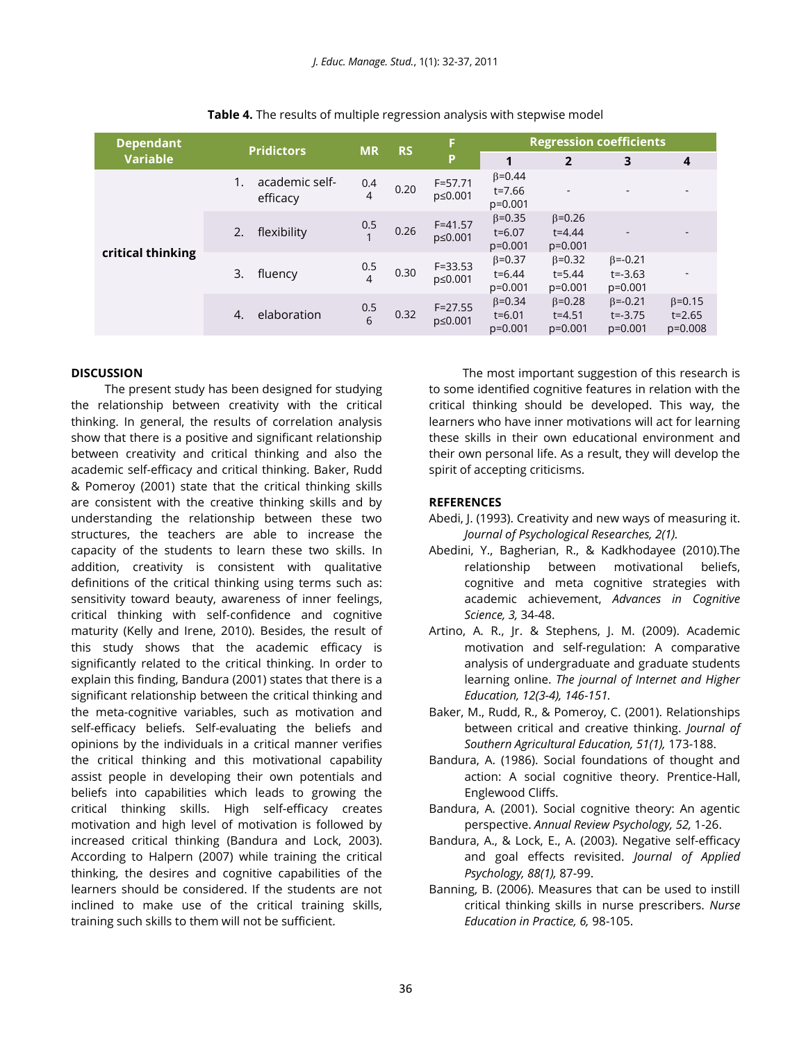| <b>Dependant</b>  | <b>Pridictors</b>          | <b>MR</b>             | <b>RS</b> | F                      | <b>Regression coefficients</b>            |                                           |                                             |                                           |
|-------------------|----------------------------|-----------------------|-----------|------------------------|-------------------------------------------|-------------------------------------------|---------------------------------------------|-------------------------------------------|
| <b>Variable</b>   |                            |                       |           | P                      | 1                                         | $\overline{2}$                            | 3                                           | 4                                         |
| critical thinking | academic self-<br>efficacy | 0.4<br>$\overline{4}$ | 0.20      | $F = 57.71$<br>p≤0.001 | $\beta = 0.44$<br>$t = 7.66$<br>$p=0.001$ | $\overline{\phantom{a}}$                  |                                             |                                           |
|                   | flexibility<br>2.          | 0.5                   | 0.26      | $F = 41.57$<br>p≤0.001 | $\beta = 0.35$<br>$t = 6.07$<br>$p=0.001$ | $\beta = 0.26$<br>$t = 4.44$<br>$p=0.001$ |                                             |                                           |
|                   | 3.<br>fluency              | 0.5<br>$\overline{4}$ | 0.30      | $F = 33.53$<br>p≤0.001 | $\beta = 0.37$<br>$t = 6.44$<br>$p=0.001$ | $\beta = 0.32$<br>$t = 5.44$<br>$p=0.001$ | $\beta = -0.21$<br>$t = -3.63$<br>$p=0.001$ |                                           |
|                   | elaboration<br>4.          | 0.5<br>6              | 0.32      | $F = 27.55$<br>p≤0.001 | $\beta = 0.34$<br>$t = 6.01$<br>$p=0.001$ | $\beta = 0.28$<br>$t = 4.51$<br>$p=0.001$ | $\beta = -0.21$<br>$t = -3.75$<br>$p=0.001$ | $\beta = 0.15$<br>$t = 2.65$<br>$p=0.008$ |

**Table 4.** The results of multiple regression analysis with stepwise model

## **DISCUSSION**

The present study has been designed for studying the relationship between creativity with the critical thinking. In general, the results of correlation analysis show that there is a positive and significant relationship between creativity and critical thinking and also the academic self-efficacy and critical thinking. Baker, Rudd & Pomeroy (2001) state that the critical thinking skills are consistent with the creative thinking skills and by understanding the relationship between these two structures, the teachers are able to increase the capacity of the students to learn these two skills. In addition, creativity is consistent with qualitative definitions of the critical thinking using terms such as: sensitivity toward beauty, awareness of inner feelings, critical thinking with self-confidence and cognitive maturity (Kelly and Irene, 2010). Besides, the result of this study shows that the academic efficacy is significantly related to the critical thinking. In order to explain this finding, Bandura (2001) states that there is a significant relationship between the critical thinking and the meta-cognitive variables, such as motivation and self-efficacy beliefs. Self-evaluating the beliefs and opinions by the individuals in a critical manner verifies the critical thinking and this motivational capability assist people in developing their own potentials and beliefs into capabilities which leads to growing the critical thinking skills. High self-efficacy creates motivation and high level of motivation is followed by increased critical thinking (Bandura and Lock, 2003). According to Halpern (2007) while training the critical thinking, the desires and cognitive capabilities of the learners should be considered. If the students are not inclined to make use of the critical training skills, training such skills to them will not be sufficient.

The most important suggestion of this research is to some identified cognitive features in relation with the critical thinking should be developed. This way, the learners who have inner motivations will act for learning these skills in their own educational environment and their own personal life. As a result, they will develop the spirit of accepting criticisms.

## **REFERENCES**

- Abedi, J. (1993). Creativity and new ways of measuring it. *Journal of Psychological Researches, 2(1).*
- Abedini, Y., Bagherian, R., & Kadkhodayee (2010).The relationship between motivational beliefs, cognitive and meta cognitive strategies with academic achievement, *Advances in Cognitive Science, 3,* 34-48.
- Artino, A. R., Jr. & Stephens, J. M. (2009). Academic motivation and self-regulation: A comparative analysis of undergraduate and graduate students learning online. *The journal of Internet and Higher Education, 12(3-4), 146-151.*
- Baker, M., Rudd, R., & Pomeroy, C. (2001). Relationships between critical and creative thinking. *Journal of Southern Agricultural Education, 51(1),* 173-188.
- Bandura, A. (1986). Social foundations of thought and action: A social cognitive theory. Prentice-Hall, Englewood Cliffs.
- Bandura, A. (2001). Social cognitive theory: An agentic perspective. *Annual Review Psychology, 52,* 1-26.
- Bandura, A., & Lock, E., A. (2003). Negative self-efficacy and goal effects revisited. *Journal of Applied Psychology, 88(1),* 87-99.
- Banning, B. (2006). Measures that can be used to instill critical thinking skills in nurse prescribers. *Nurse Education in Practice, 6,* 98-105.